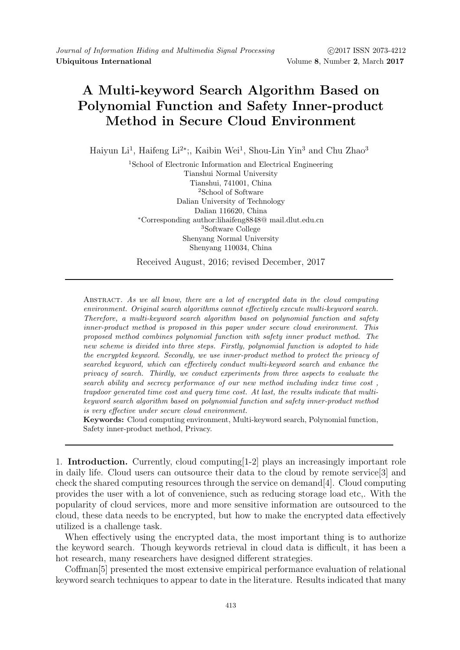## A Multi-keyword Search Algorithm Based on Polynomial Function and Safety Inner-product Method in Secure Cloud Environment

Haiyun Li<sup>1</sup>, Haifeng Li<sup>2\*</sup>;, Kaibin Wei<sup>1</sup>, Shou-Lin Yin<sup>3</sup> and Chu Zhao<sup>3</sup>

<sup>1</sup>School of Electronic Information and Electrical Engineering Tianshui Normal University Tianshui, 741001, China <sup>2</sup>School of Software Dalian University of Technology Dalian 116620, China <sup>∗</sup>Corresponding author:lihaifeng8848@ mail.dlut.edu.cn <sup>3</sup>Software College Shenyang Normal University Shenyang 110034, China

Received August, 2016; revised December, 2017

Abstract. As we all know, there are a lot of encrypted data in the cloud computing environment. Original search algorithms cannot effectively execute multi-keyword search. Therefore, a multi-keyword search algorithm based on polynomial function and safety inner-product method is proposed in this paper under secure cloud environment. This proposed method combines polynomial function with safety inner product method. The new scheme is divided into three steps. Firstly, polynomial function is adopted to hide the encrypted keyword. Secondly, we use inner-product method to protect the privacy of searched keyword, which can effectively conduct multi-keyword search and enhance the privacy of search. Thirdly, we conduct experiments from three aspects to evaluate the search ability and secrecy performance of our new method including index time cost , trapdoor generated time cost and query time cost. At last, the results indicate that multikeyword search algorithm based on polynomial function and safety inner-product method is very effective under secure cloud environment.

Keywords: Cloud computing environment, Multi-keyword search, Polynomial function, Safety inner-product method, Privacy.

1. Introduction. Currently, cloud computing[1-2] plays an increasingly important role in daily life. Cloud users can outsource their data to the cloud by remote service[3] and check the shared computing resources through the service on demand[4]. Cloud computing provides the user with a lot of convenience, such as reducing storage load etc,. With the popularity of cloud services, more and more sensitive information are outsourced to the cloud, these data needs to be encrypted, but how to make the encrypted data effectively utilized is a challenge task.

When effectively using the encrypted data, the most important thing is to authorize the keyword search. Though keywords retrieval in cloud data is difficult, it has been a hot research, many researchers have designed different strategies.

Coffman[5] presented the most extensive empirical performance evaluation of relational keyword search techniques to appear to date in the literature. Results indicated that many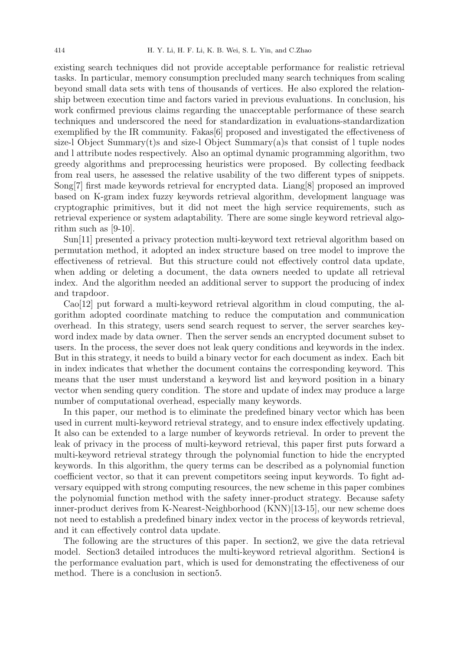existing search techniques did not provide acceptable performance for realistic retrieval tasks. In particular, memory consumption precluded many search techniques from scaling beyond small data sets with tens of thousands of vertices. He also explored the relationship between execution time and factors varied in previous evaluations. In conclusion, his work confirmed previous claims regarding the unacceptable performance of these search techniques and underscored the need for standardization in evaluations-standardization exemplified by the IR community. Fakas [6] proposed and investigated the effectiveness of size-l Object Summary $(t)$ s and size-l Object Summary $(a)$ s that consist of l tuple nodes and l attribute nodes respectively. Also an optimal dynamic programming algorithm, two greedy algorithms and preprocessing heuristics were proposed. By collecting feedback from real users, he assessed the relative usability of the two different types of snippets. Song[7] first made keywords retrieval for encrypted data. Liang[8] proposed an improved based on K-gram index fuzzy keywords retrieval algorithm, development language was cryptographic primitives, but it did not meet the high service requirements, such as retrieval experience or system adaptability. There are some single keyword retrieval algorithm such as [9-10].

Sun[11] presented a privacy protection multi-keyword text retrieval algorithm based on permutation method, it adopted an index structure based on tree model to improve the effectiveness of retrieval. But this structure could not effectively control data update, when adding or deleting a document, the data owners needed to update all retrieval index. And the algorithm needed an additional server to support the producing of index and trapdoor.

Cao[12] put forward a multi-keyword retrieval algorithm in cloud computing, the algorithm adopted coordinate matching to reduce the computation and communication overhead. In this strategy, users send search request to server, the server searches keyword index made by data owner. Then the server sends an encrypted document subset to users. In the process, the sever does not leak query conditions and keywords in the index. But in this strategy, it needs to build a binary vector for each document as index. Each bit in index indicates that whether the document contains the corresponding keyword. This means that the user must understand a keyword list and keyword position in a binary vector when sending query condition. The store and update of index may produce a large number of computational overhead, especially many keywords.

In this paper, our method is to eliminate the predefined binary vector which has been used in current multi-keyword retrieval strategy, and to ensure index effectively updating. It also can be extended to a large number of keywords retrieval. In order to prevent the leak of privacy in the process of multi-keyword retrieval, this paper first puts forward a multi-keyword retrieval strategy through the polynomial function to hide the encrypted keywords. In this algorithm, the query terms can be described as a polynomial function coefficient vector, so that it can prevent competitors seeing input keywords. To fight adversary equipped with strong computing resources, the new scheme in this paper combines the polynomial function method with the safety inner-product strategy. Because safety inner-product derives from K-Nearest-Neighborhood (KNN)[13-15], our new scheme does not need to establish a predefined binary index vector in the process of keywords retrieval, and it can effectively control data update.

The following are the structures of this paper. In section2, we give the data retrieval model. Section3 detailed introduces the multi-keyword retrieval algorithm. Section4 is the performance evaluation part, which is used for demonstrating the effectiveness of our method. There is a conclusion in section5.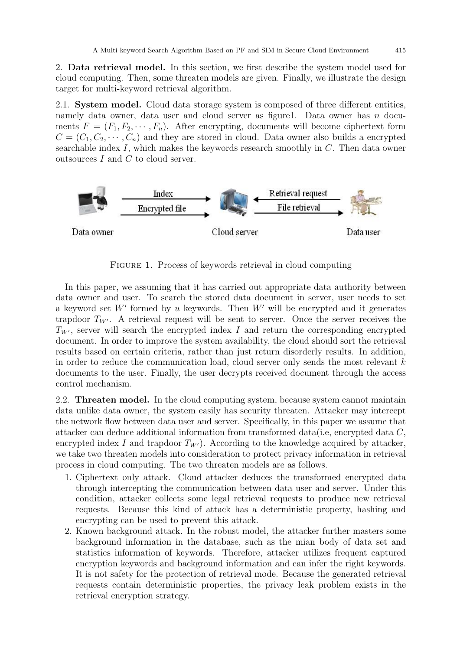2. Data retrieval model. In this section, we first describe the system model used for cloud computing. Then, some threaten models are given. Finally, we illustrate the design target for multi-keyword retrieval algorithm.

2.1. System model. Cloud data storage system is composed of three different entities, namely data owner, data user and cloud server as figure1. Data owner has  $n$  documents  $F = (F_1, F_2, \cdots, F_n)$ . After encrypting, documents will become ciphertext form  $C = (C_1, C_2, \cdots, C_n)$  and they are stored in cloud. Data owner also builds a encrypted searchable index I, which makes the keywords research smoothly in C. Then data owner outsources  $I$  and  $C$  to cloud server.



FIGURE 1. Process of keywords retrieval in cloud computing

In this paper, we assuming that it has carried out appropriate data authority between data owner and user. To search the stored data document in server, user needs to set a keyword set  $W'$  formed by u keywords. Then  $W'$  will be encrypted and it generates trapdoor  $T_{W'}$ . A retrieval request will be sent to server. Once the server receives the  $T_{W'}$ , server will search the encrypted index I and return the corresponding encrypted document. In order to improve the system availability, the cloud should sort the retrieval results based on certain criteria, rather than just return disorderly results. In addition, in order to reduce the communication load, cloud server only sends the most relevant  $k$ documents to the user. Finally, the user decrypts received document through the access control mechanism.

2.2. Threaten model. In the cloud computing system, because system cannot maintain data unlike data owner, the system easily has security threaten. Attacker may intercept the network flow between data user and server. Specifically, in this paper we assume that attacker can deduce additional information from transformed data(i.e, encrypted data C, encrypted index I and trapdoor  $T_{W}$ ). According to the knowledge acquired by attacker, we take two threaten models into consideration to protect privacy information in retrieval process in cloud computing. The two threaten models are as follows.

- 1. Ciphertext only attack. Cloud attacker deduces the transformed encrypted data through intercepting the communication between data user and server. Under this condition, attacker collects some legal retrieval requests to produce new retrieval requests. Because this kind of attack has a deterministic property, hashing and encrypting can be used to prevent this attack.
- 2. Known background attack. In the robust model, the attacker further masters some background information in the database, such as the mian body of data set and statistics information of keywords. Therefore, attacker utilizes frequent captured encryption keywords and background information and can infer the right keywords. It is not safety for the protection of retrieval mode. Because the generated retrieval requests contain deterministic properties, the privacy leak problem exists in the retrieval encryption strategy.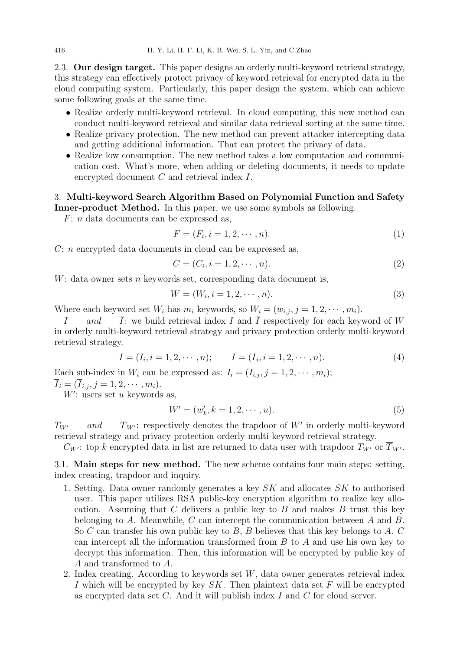2.3. Our design target. This paper designs an orderly multi-keyword retrieval strategy, this strategy can effectively protect privacy of keyword retrieval for encrypted data in the cloud computing system. Particularly, this paper design the system, which can achieve some following goals at the same time.

- Realize orderly multi-keyword retrieval. In cloud computing, this new method can conduct multi-keyword retrieval and similar data retrieval sorting at the same time.
- Realize privacy protection. The new method can prevent attacker intercepting data and getting additional information. That can protect the privacy of data.
- Realize low consumption. The new method takes a low computation and communication cost. What's more, when adding or deleting documents, it needs to update encrypted document C and retrieval index I.

## 3. Multi-keyword Search Algorithm Based on Polynomial Function and Safety Inner-product Method. In this paper, we use some symbols as following.

F: n data documents can be expressed as,

$$
F = (F_i, i = 1, 2, \cdots, n). \tag{1}
$$

C: n encrypted data documents in cloud can be expressed as,

$$
C = (C_i, i = 1, 2, \cdots, n). \tag{2}
$$

 $W:$  data owner sets n keywords set, corresponding data document is,

$$
W = (W_i, i = 1, 2, \cdots, n). \tag{3}
$$

Where each keyword set  $W_i$  has  $m_i$  keywords, so  $W_i = (w_{i,j}, j = 1, 2, \cdots, m_i)$ .

I and  $\overline{I}$ : we build retrieval index I and  $\overline{I}$  respectively for each keyword of W in orderly multi-keyword retrieval strategy and privacy protection orderly multi-keyword retrieval strategy.

$$
I = (I_i, i = 1, 2, \cdots, n); \qquad \overline{I} = (\overline{I}_i, i = 1, 2, \cdots, n).
$$
 (4)

Each sub-index in  $W_i$  can be expressed as:  $I_i = (I_{i,j}, j = 1, 2, \dots, m_i);$  $I_i = (I_{i,j}, j = 1, 2, \cdots, m_i).$ 

 $W'$ : users set u keywords as,

$$
W' = (w'_k, k = 1, 2, \cdots, u).
$$
 (5)

 $T_{W'}$  and  $\overline{T}_{W'}$ : respectively denotes the trapdoor of W' in orderly multi-keyword retrieval strategy and privacy protection orderly multi-keyword retrieval strategy.

 $C_{W'}$ : top k encrypted data in list are returned to data user with trapdoor  $T_{W'}$  or  $\overline{T}_{W'}$ .

3.1. Main steps for new method. The new scheme contains four main steps: setting, index creating, trapdoor and inquiry.

- 1. Setting. Data owner randomly generates a key  $SK$  and allocates  $SK$  to authorised user. This paper utilizes RSA public-key encryption algorithm to realize key allocation. Assuming that C delivers a public key to  $B$  and makes  $B$  trust this key belonging to A. Meanwhile, C can intercept the communication between A and B. So C can transfer his own public key to  $B, B$  believes that this key belongs to  $A, C$ can intercept all the information transformed from B to A and use his own key to decrypt this information. Then, this information will be encrypted by public key of A and transformed to A.
- 2. Index creating. According to keywords set  $W$ , data owner generates retrieval index I which will be encrypted by key  $SK$ . Then plaintext data set F will be encrypted as encrypted data set  $C$ . And it will publish index  $I$  and  $C$  for cloud server.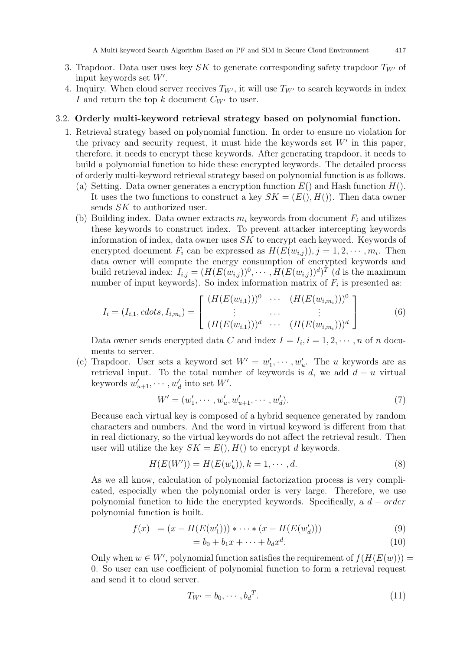- 3. Trapdoor. Data user uses key SK to generate corresponding safety trapdoor  $T_{W}$  of input keywords set  $W'$ .
- 4. Inquiry. When cloud server receives  $T_{W'}$ , it will use  $T_{W'}$  to search keywords in index I and return the top k document  $C_{W}$  to user.

## 3.2. Orderly multi-keyword retrieval strategy based on polynomial function.

- 1. Retrieval strategy based on polynomial function. In order to ensure no violation for the privacy and security request, it must hide the keywords set  $W'$  in this paper, therefore, it needs to encrypt these keywords. After generating trapdoor, it needs to build a polynomial function to hide these encrypted keywords. The detailed process of orderly multi-keyword retrieval strategy based on polynomial function is as follows.
	- (a) Setting. Data owner generates a encryption function  $E()$  and Hash function  $H()$ . It uses the two functions to construct a key  $SK = (E(), H())$ . Then data owner sends SK to authorized user.
	- (b) Building index. Data owner extracts  $m_i$  keywords from document  $F_i$  and utilizes these keywords to construct index. To prevent attacker intercepting keywords information of index, data owner uses SK to encrypt each keyword. Keywords of encrypted document  $F_i$  can be expressed as  $H(E(w_{i,j}))$ ,  $j = 1, 2, \dots, m_i$ . Then data owner will compute the energy consumption of encrypted keywords and build retrieval index:  $I_{i,j} = (H(E(w_{i,j}))^0, \dots, H(E(w_{i,j}))^d)^T$  (*d* is the maximum number of input keywords). So index information matrix of  $F_i$  is presented as:

$$
I_i = (I_{i,1}, \text{cdots}, I_{i,m_i}) = \begin{bmatrix} (H(E(w_{i,1})))^0 & \cdots & (H(E(w_{i,m_i})))^0 \\ \vdots & \cdots & \vdots \\ (H(E(w_{i,1})))^d & \cdots & (H(E(w_{i,m_i})))^d \end{bmatrix}
$$
(6)

Data owner sends encrypted data C and index  $I = I_i, i = 1, 2, \dots, n$  of n documents to server.

(c) Trapdoor. User sets a keyword set  $W' = w'_1, \dots, w'_u$ . The u keywords are as retrieval input. To the total number of keywords is d, we add  $d - u$  virtual keywords  $w'_{u+1}, \cdots, w'_{d}$  into set W'.

$$
W' = (w'_1, \cdots, w'_u, w'_{u+1}, \cdots, w'_d). \tag{7}
$$

Because each virtual key is composed of a hybrid sequence generated by random characters and numbers. And the word in virtual keyword is different from that in real dictionary, so the virtual keywords do not affect the retrieval result. Then user will utilize the key  $SK = E($ ,  $H($ ) to encrypt d keywords.

$$
H(E(W')) = H(E(w'_k)), k = 1, \cdots, d.
$$
\n(8)

As we all know, calculation of polynomial factorization process is very complicated, especially when the polynomial order is very large. Therefore, we use polynomial function to hide the encrypted keywords. Specifically, a  $d - order$ polynomial function is built.

$$
f(x) = (x - H(E(w'_1))) * \cdots * (x - H(E(w'_d)))
$$
\n(9)

$$
= b_0 + b_1 x + \dots + b_d x^d. \tag{10}
$$

Only when  $w \in W'$ , polynomial function satisfies the requirement of  $f(H(E(w)))$  = 0. So user can use coefficient of polynomial function to form a retrieval request and send it to cloud server.

$$
T_{W'} = b_0, \cdots, b_d^T. \tag{11}
$$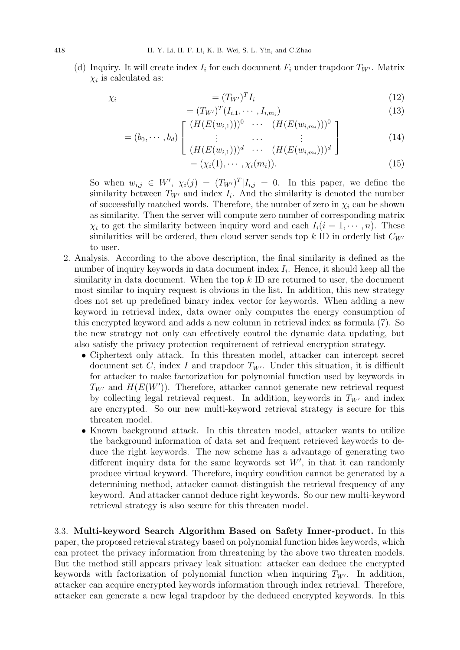(d) Inquiry. It will create index  $I_i$  for each document  $F_i$  under trapdoor  $T_{W'}$ . Matrix  $\chi_i$  is calculated as:

$$
\chi_i = (T_{W'})^T I_i \tag{12}
$$

$$
= (T_{W'})^T (I_{i,1}, \cdots, I_{i,m_i})
$$
\n(13)

$$
,b_d) \left[ \begin{array}{ccc} (H(E(w_{i,1})))^0 & \cdots & (H(E(w_{i,m_i})))^0 \\ \vdots & \cdots & \vdots \\ (E(w_{i,m_i}))^0 & \cdots & (E(w_{i,m_i}))^0 \end{array} \right] \right]
$$
(14)

$$
= (b_0, \cdots, b_d) \left[ \begin{array}{ccc} \vdots & \cdots & \vdots \\ (H(E(w_{i,1})))^d & \cdots & (H(E(w_{i,m_i})))^d \end{array} \right] \tag{14}
$$

$$
= (\chi_i(1), \cdots, \chi_i(m_i)). \tag{15}
$$

So when  $w_{i,j} \in W'$ ,  $\chi_i(j) = (T_{W'})^T | I_{i,j} = 0$ . In this paper, we define the similarity between  $T_{W'}$  and index  $I_i$ . And the similarity is denoted the number of successfully matched words. Therefore, the number of zero in  $\chi_i$  can be shown as similarity. Then the server will compute zero number of corresponding matrix  $\chi_i$  to get the similarity between inquiry word and each  $I_i(i = 1, \dots, n)$ . These similarities will be ordered, then cloud server sends top  $k$  ID in orderly list  $C_{W'}$ to user.

- 2. Analysis. According to the above description, the final similarity is defined as the number of inquiry keywords in data document index  $I_i$ . Hence, it should keep all the similarity in data document. When the top  $k$  ID are returned to user, the document most similar to inquiry request is obvious in the list. In addition, this new strategy does not set up predefined binary index vector for keywords. When adding a new keyword in retrieval index, data owner only computes the energy consumption of this encrypted keyword and adds a new column in retrieval index as formula (7). So the new strategy not only can effectively control the dynamic data updating, but also satisfy the privacy protection requirement of retrieval encryption strategy.
	- Ciphertext only attack. In this threaten model, attacker can intercept secret document set C, index I and trapdoor  $T_{W'}$ . Under this situation, it is difficult for attacker to make factorization for polynomial function used by keywords in  $T_{W'}$  and  $H(E(W'))$ . Therefore, attacker cannot generate new retrieval request by collecting legal retrieval request. In addition, keywords in  $T_{W'}$  and index are encrypted. So our new multi-keyword retrieval strategy is secure for this threaten model.
	- Known background attack. In this threaten model, attacker wants to utilize the background information of data set and frequent retrieved keywords to deduce the right keywords. The new scheme has a advantage of generating two different inquiry data for the same keywords set  $W'$ , in that it can randomly produce virtual keyword. Therefore, inquiry condition cannot be generated by a determining method, attacker cannot distinguish the retrieval frequency of any keyword. And attacker cannot deduce right keywords. So our new multi-keyword retrieval strategy is also secure for this threaten model.

3.3. Multi-keyword Search Algorithm Based on Safety Inner-product. In this paper, the proposed retrieval strategy based on polynomial function hides keywords, which can protect the privacy information from threatening by the above two threaten models. But the method still appears privacy leak situation: attacker can deduce the encrypted keywords with factorization of polynomial function when inquiring  $T_{W'}$ . In addition, attacker can acquire encrypted keywords information through index retrieval. Therefore, attacker can generate a new legal trapdoor by the deduced encrypted keywords. In this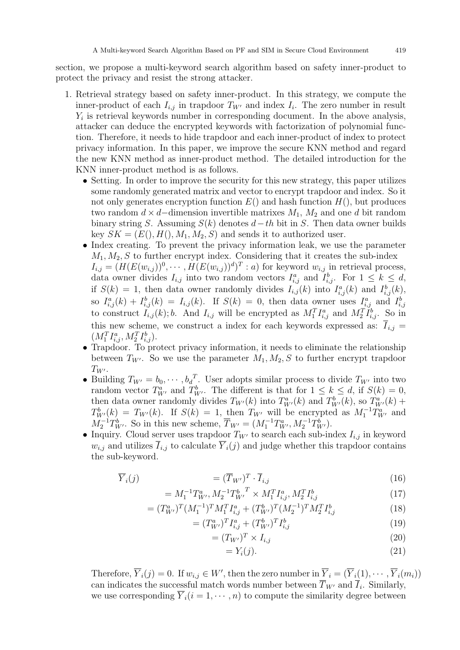section, we propose a multi-keyword search algorithm based on safety inner-product to protect the privacy and resist the strong attacker.

- 1. Retrieval strategy based on safety inner-product. In this strategy, we compute the inner-product of each  $I_{i,j}$  in trapdoor  $T_{W'}$  and index  $I_i$ . The zero number in result  $Y_i$  is retrieval keywords number in corresponding document. In the above analysis, attacker can deduce the encrypted keywords with factorization of polynomial function. Therefore, it needs to hide trapdoor and each inner-product of index to protect privacy information. In this paper, we improve the secure KNN method and regard the new KNN method as inner-product method. The detailed introduction for the KNN inner-product method is as follows.
	- Setting. In order to improve the security for this new strategy, this paper utilizes some randomly generated matrix and vector to encrypt trapdoor and index. So it not only generates encryption function  $E()$  and hash function  $H()$ , but produces two random  $d \times d$ –dimension invertible matrixes  $M_1$ ,  $M_2$  and one d bit random binary string S. Assuming  $S(k)$  denotes  $d-th$  bit in S. Then data owner builds key  $SK = (E(), H(), M_1, M_2, S)$  and sends it to authorized user.
	- Index creating. To prevent the privacy information leak, we use the parameter  $M_1, M_2, S$  to further encrypt index. Considering that it creates the sub-index  $I_{i,j} = (H(E(w_{i,j}))^0, \cdots, H(E(w_{i,j}))^d)^T : a)$  for keyword  $w_{i,j}$  in retrieval process, data owner divides  $I_{i,j}$  into two random vectors  $I_{i,j}^a$  and  $I_{i,j}^b$ . For  $1 \leq k \leq d$ , if  $S(k) = 1$ , then data owner randomly divides  $I_{i,j}(k)$  into  $I_{i,j}^a(k)$  and  $I_{i,j}^b(k)$ , so  $I_{i,j}^a(k) + I_{i,j}^b(k) = I_{i,j}(k)$ . If  $S(k) = 0$ , then data owner uses  $I_{i,j}^a$  and  $I_{i,j}^b$ to construct  $I_{i,j}(k)$ ; b. And  $I_{i,j}$  will be encrypted as  $M_1^T I_{i,j}^a$  and  $M_2^T I_{i,j}^b$ . So in this new scheme, we construct a index for each keywords expressed as:  $I_{i,j}$  =  $(M_1^TI_{i,j}^a, M_2^TI_{i,j}^b).$
	- Trapdoor. To protect privacy information, it needs to eliminate the relationship between  $T_{W'}$ . So we use the parameter  $M_1, M_2, S$  to further encrypt trapdoor  $T_{W'}$ .
	- Building  $T_{W'} = b_0, \cdots, b_d^T$ . User adopts similar process to divide  $T_{W'}$  into two random vector  $T_{W'}^a$  and  $T_{W'}^b$ . The different is that for  $1 \leq k \leq d$ , if  $S(k) = 0$ , then data owner randomly divides  $T_{W'}(k)$  into  $T_{W'}^a(k)$  and  $T_{W'}^b(k)$ , so  $T_{W'}^a(k)$  +  $T_{W'}^b(k) = T_{W'}(k)$ . If  $S(k) = 1$ , then  $T_{W'}$  will be encrypted as  $M_1^{-1}T_{W'}^a$  and  $M_2^{-1}T_{W'}^b$ . So in this new scheme,  $\overline{T}_{W'} = (M_1^{-1}T_{W'}^a, M_2^{-1}T_{W'}^b)$ .
	- Inquiry. Cloud server uses trapdoor  $T_{W'}$  to search each sub-index  $I_{i,j}$  in keyword  $w_{i,j}$  and utilizes  $\overline{I}_{i,j}$  to calculate  $\overline{Y}_i(j)$  and judge whether this trapdoor contains the sub-keyword.

$$
\overline{Y}_i(j) \qquad \qquad = (\overline{T}_{W'})^T \cdot \overline{I}_{i,j} \qquad (16)
$$

$$
=M_1^{-1}T_{W'}^a, M_2^{-1}T_{W'}^b{}^T \times M_1^T I_{i,j}^a, M_2^T I_{i,j}^b \tag{17}
$$

$$
= (T_{W'}^a)^T (M_1^{-1})^T M_1^T I_{i,j}^a + (T_{W'}^b)^T (M_2^{-1})^T M_2^T I_{i,j}^b \tag{18}
$$

$$
= (T_{W'}^a)^T I_{i,j}^a + (T_{W'}^b)^T I_{i,j}^b \tag{19}
$$

$$
=(T_{W'})^T \times I_{i,j} \tag{20}
$$

$$
= Y_i(j). \tag{21}
$$

Therefore,  $\overline{Y}_i(j) = 0$ . If  $w_{i,j} \in W'$ , then the zero number in  $\overline{Y}_i = (\overline{Y}_i(1), \cdots, \overline{Y}_i(m_i))$ can indicates the successful match words number between  $T_{W'}$  and  $I_i$ . Similarly, we use corresponding  $\overline{Y}_i(i = 1, \dots, n)$  to compute the similarity degree between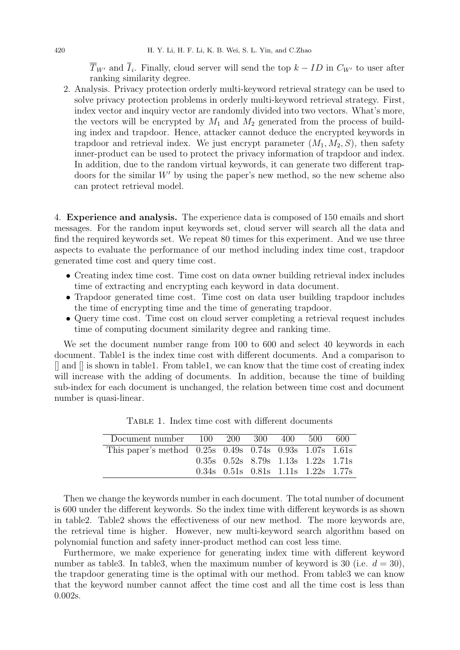$T_{W'}$  and  $I_i$ . Finally, cloud server will send the top  $k - ID$  in  $C_{W'}$  to user after ranking similarity degree.

2. Analysis. Privacy protection orderly multi-keyword retrieval strategy can be used to solve privacy protection problems in orderly multi-keyword retrieval strategy. First, index vector and inquiry vector are randomly divided into two vectors. What's more, the vectors will be encrypted by  $M_1$  and  $M_2$  generated from the process of building index and trapdoor. Hence, attacker cannot deduce the encrypted keywords in trapdoor and retrieval index. We just encrypt parameter  $(M_1, M_2, S)$ , then safety inner-product can be used to protect the privacy information of trapdoor and index. In addition, due to the random virtual keywords, it can generate two different trapdoors for the similar  $W'$  by using the paper's new method, so the new scheme also can protect retrieval model.

4. Experience and analysis. The experience data is composed of 150 emails and short messages. For the random input keywords set, cloud server will search all the data and find the required keywords set. We repeat 80 times for this experiment. And we use three aspects to evaluate the performance of our method including index time cost, trapdoor generated time cost and query time cost.

- Creating index time cost. Time cost on data owner building retrieval index includes time of extracting and encrypting each keyword in data document.
- Trapdoor generated time cost. Time cost on data user building trapdoor includes the time of encrypting time and the time of generating trapdoor.
- Query time cost. Time cost on cloud server completing a retrieval request includes time of computing document similarity degree and ranking time.

We set the document number range from 100 to 600 and select 40 keywords in each document. Table1 is the index time cost with different documents. And a comparison to  $\parallel$  and  $\parallel$  is shown in table1. From table1, we can know that the time cost of creating index will increase with the adding of documents. In addition, because the time of building sub-index for each document is unchanged, the relation between time cost and document number is quasi-linear.

| Document number 100 200                                             |  | - 300 | 400 | -500-                                           | -600 |
|---------------------------------------------------------------------|--|-------|-----|-------------------------------------------------|------|
| This paper's method $0.25s$ $0.49s$ $0.74s$ $0.93s$ $1.07s$ $1.61s$ |  |       |     |                                                 |      |
|                                                                     |  |       |     | $0.35s$ $0.52s$ $8.79s$ $1.13s$ $1.22s$ $1.71s$ |      |
|                                                                     |  |       |     | $0.34s$ $0.51s$ $0.81s$ $1.11s$ $1.22s$ $1.77s$ |      |

Table 1. Index time cost with different documents

Then we change the keywords number in each document. The total number of document is 600 under the different keywords. So the index time with different keywords is as shown in table2. Table2 shows the effectiveness of our new method. The more keywords are, the retrieval time is higher. However, new multi-keyword search algorithm based on polynomial function and safety inner-product method can cost less time.

Furthermore, we make experience for generating index time with different keyword number as table3. In table3, when the maximum number of keyword is 30 (i.e.  $d = 30$ ), the trapdoor generating time is the optimal with our method. From table3 we can know that the keyword number cannot affect the time cost and all the time cost is less than 0.002s.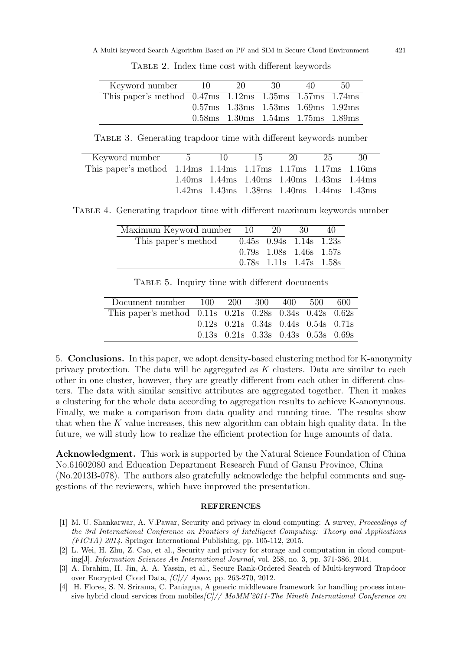| Keyword number 10                                                | - 20                                 | - 30 - | 40. | -50- |
|------------------------------------------------------------------|--------------------------------------|--------|-----|------|
| This paper's method $0.47ms$ $1.12ms$ $1.35ms$ $1.57ms$ $1.74ms$ |                                      |        |     |      |
|                                                                  | $0.57ms$ 1.33ms 1.53ms 1.69ms 1.92ms |        |     |      |
|                                                                  | $0.58ms$ 1.30ms 1.54ms 1.75ms 1.89ms |        |     |      |

Table 2. Index time cost with different keywords

TABLE 3. Generating trapdoor time with different keywords number

| Keyword number 5                                                          | $10 -$ | -15 -                                                                                                 | $20 -$ | -25- | -30 |
|---------------------------------------------------------------------------|--------|-------------------------------------------------------------------------------------------------------|--------|------|-----|
| This paper's method $1.14ms$ $1.14ms$ $1.17ms$ $1.17ms$ $1.17ms$ $1.16ms$ |        |                                                                                                       |        |      |     |
|                                                                           |        | $1.40 \text{ms}$ $1.44 \text{ms}$ $1.40 \text{ms}$ $1.40 \text{ms}$ $1.43 \text{ms}$ $1.44 \text{ms}$ |        |      |     |
|                                                                           |        | $1.42ms$ $1.43ms$ $1.38ms$ $1.40ms$ $1.44ms$ $1.43ms$                                                 |        |      |     |

Table 4. Generating trapdoor time with different maximum keywords number

| Maximum Keyword number 10 | - 20                            | -30- | 40 |
|---------------------------|---------------------------------|------|----|
| This paper's method       | $0.45s$ $0.94s$ $1.14s$ $1.23s$ |      |    |
|                           | $0.79s$ $1.08s$ $1.46s$ $1.57s$ |      |    |
|                           | $0.78s$ 1.11s 1.47s 1.58s       |      |    |

| Document number 100                                                 | 200 | -300 - | 400 | -500 -                                          | -600 |
|---------------------------------------------------------------------|-----|--------|-----|-------------------------------------------------|------|
| This paper's method $0.11s$ $0.21s$ $0.28s$ $0.34s$ $0.42s$ $0.62s$ |     |        |     |                                                 |      |
|                                                                     |     |        |     | $0.12s$ $0.21s$ $0.34s$ $0.44s$ $0.54s$ $0.71s$ |      |
|                                                                     |     |        |     | $0.13s$ $0.21s$ $0.33s$ $0.43s$ $0.53s$ $0.69s$ |      |

Table 5. Inquiry time with different documents

5. Conclusions. In this paper, we adopt density-based clustering method for K-anonymity privacy protection. The data will be aggregated as  $K$  clusters. Data are similar to each other in one cluster, however, they are greatly different from each other in different clusters. The data with similar sensitive attributes are aggregated together. Then it makes a clustering for the whole data according to aggregation results to achieve K-anonymous. Finally, we make a comparison from data quality and running time. The results show that when the K value increases, this new algorithm can obtain high quality data. In the future, we will study how to realize the efficient protection for huge amounts of data.

Acknowledgment. This work is supported by the Natural Science Foundation of China No.61602080 and Education Department Research Fund of Gansu Province, China (No.2013B-078). The authors also gratefully acknowledge the helpful comments and suggestions of the reviewers, which have improved the presentation.

## **REFERENCES**

- [1] M. U. Shankarwar, A. V.Pawar, Security and privacy in cloud computing: A survey, Proceedings of the 3rd International Conference on Frontiers of Intelligent Computing: Theory and Applications (FICTA) 2014. Springer International Publishing, pp. 105-112, 2015.
- [2] L. Wei, H. Zhu, Z. Cao, et al., Security and privacy for storage and computation in cloud computing[J]. Information Sciences An International Journal, vol. 258, no. 3, pp. 371-386, 2014.
- [3] A. Ibrahim, H. Jin, A. A. Yassin, et al., Secure Rank-Ordered Search of Multi-keyword Trapdoor over Encrypted Cloud Data, [C]// Apscc, pp. 263-270, 2012.
- [4] H. Flores, S. N. Srirama, C. Paniagua, A generic middleware framework for handling process intensive hybrid cloud services from mobiles $|C|$ // MoMM'2011-The Nineth International Conference on